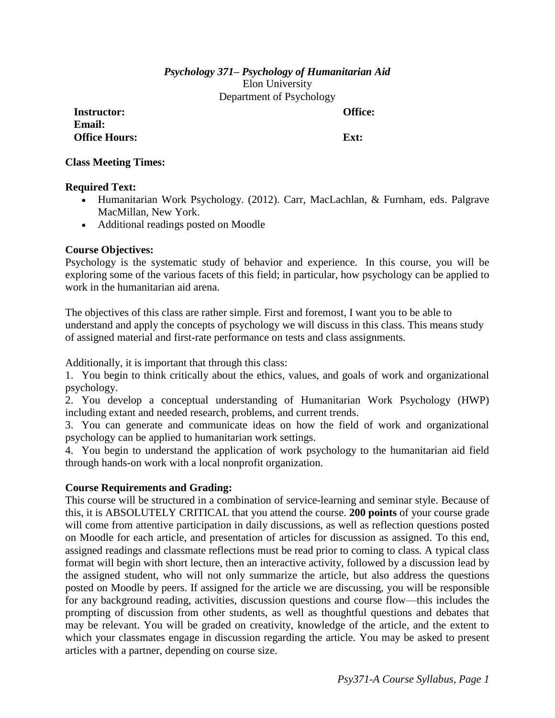# *Psychology 371– Psychology of Humanitarian Aid* Elon University Department of Psychology

**Instructor: Office: Email: Office Hours: Ext:** 

**Class Meeting Times:**

## **Required Text:**

- Humanitarian Work Psychology. (2012). Carr, MacLachlan, & Furnham, eds. Palgrave MacMillan, New York.
- Additional readings posted on Moodle

# **Course Objectives:**

Psychology is the systematic study of behavior and experience. In this course, you will be exploring some of the various facets of this field; in particular, how psychology can be applied to work in the humanitarian aid arena.

The objectives of this class are rather simple. First and foremost, I want you to be able to understand and apply the concepts of psychology we will discuss in this class. This means study of assigned material and first-rate performance on tests and class assignments.

Additionally, it is important that through this class:

1. You begin to think critically about the ethics, values, and goals of work and organizational psychology.

2. You develop a conceptual understanding of Humanitarian Work Psychology (HWP) including extant and needed research, problems, and current trends.

3. You can generate and communicate ideas on how the field of work and organizational psychology can be applied to humanitarian work settings.

4. You begin to understand the application of work psychology to the humanitarian aid field through hands-on work with a local nonprofit organization.

## **Course Requirements and Grading:**

This course will be structured in a combination of service-learning and seminar style. Because of this, it is ABSOLUTELY CRITICAL that you attend the course. **200 points** of your course grade will come from attentive participation in daily discussions, as well as reflection questions posted on Moodle for each article, and presentation of articles for discussion as assigned. To this end, assigned readings and classmate reflections must be read prior to coming to class. A typical class format will begin with short lecture, then an interactive activity, followed by a discussion lead by the assigned student, who will not only summarize the article, but also address the questions posted on Moodle by peers. If assigned for the article we are discussing, you will be responsible for any background reading, activities, discussion questions and course flow—this includes the prompting of discussion from other students, as well as thoughtful questions and debates that may be relevant. You will be graded on creativity, knowledge of the article, and the extent to which your classmates engage in discussion regarding the article. You may be asked to present articles with a partner, depending on course size.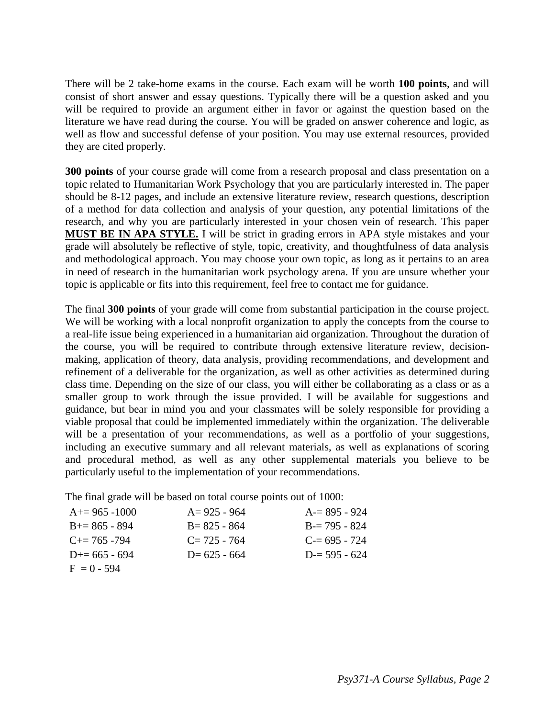There will be 2 take-home exams in the course. Each exam will be worth **100 points**, and will consist of short answer and essay questions. Typically there will be a question asked and you will be required to provide an argument either in favor or against the question based on the literature we have read during the course. You will be graded on answer coherence and logic, as well as flow and successful defense of your position. You may use external resources, provided they are cited properly.

**300 points** of your course grade will come from a research proposal and class presentation on a topic related to Humanitarian Work Psychology that you are particularly interested in. The paper should be 8-12 pages, and include an extensive literature review, research questions, description of a method for data collection and analysis of your question, any potential limitations of the research, and why you are particularly interested in your chosen vein of research. This paper **MUST BE IN APA STYLE.** I will be strict in grading errors in APA style mistakes and your grade will absolutely be reflective of style, topic, creativity, and thoughtfulness of data analysis and methodological approach. You may choose your own topic, as long as it pertains to an area in need of research in the humanitarian work psychology arena. If you are unsure whether your topic is applicable or fits into this requirement, feel free to contact me for guidance.

The final **300 points** of your grade will come from substantial participation in the course project. We will be working with a local nonprofit organization to apply the concepts from the course to a real-life issue being experienced in a humanitarian aid organization. Throughout the duration of the course, you will be required to contribute through extensive literature review, decisionmaking, application of theory, data analysis, providing recommendations, and development and refinement of a deliverable for the organization, as well as other activities as determined during class time. Depending on the size of our class, you will either be collaborating as a class or as a smaller group to work through the issue provided. I will be available for suggestions and guidance, but bear in mind you and your classmates will be solely responsible for providing a viable proposal that could be implemented immediately within the organization. The deliverable will be a presentation of your recommendations, as well as a portfolio of your suggestions, including an executive summary and all relevant materials, as well as explanations of scoring and procedural method, as well as any other supplemental materials you believe to be particularly useful to the implementation of your recommendations.

The final grade will be based on total course points out of 1000:

| $A+=965-1000$         | $A = 925 - 964$ | $A = 895 - 924$ |
|-----------------------|-----------------|-----------------|
| $B+=865-894$          | $B = 825 - 864$ | $B = 795 - 824$ |
| $C_{\pm} = 765 - 794$ | $C = 725 - 764$ | $C = 695 - 724$ |
| $D+= 665 - 694$       | $D=625 - 664$   | $D = 595 - 624$ |
| $F = 0 - 594$         |                 |                 |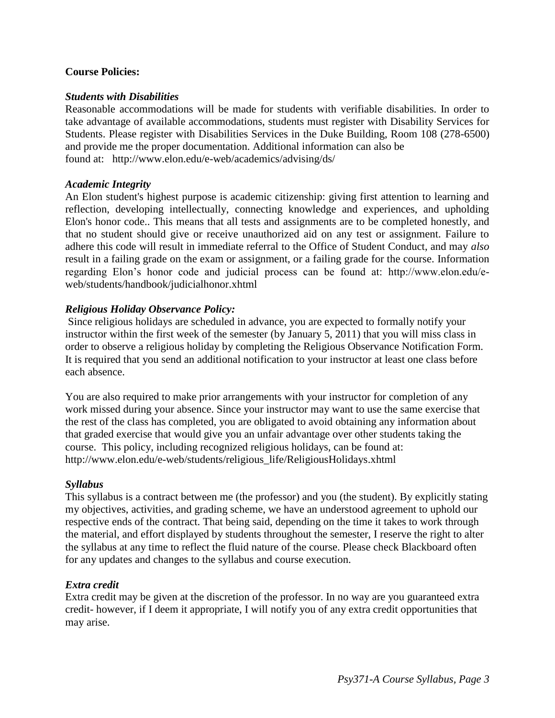## **Course Policies:**

### *Students with Disabilities*

Reasonable accommodations will be made for students with verifiable disabilities. In order to take advantage of available accommodations, students must register with Disability Services for Students. Please register with Disabilities Services in the Duke Building, Room 108 (278-6500) and provide me the proper documentation. Additional information can also be found at: http://www.elon.edu/e-web/academics/advising/ds/

#### *Academic Integrity*

An Elon student's highest purpose is academic citizenship: giving first attention to learning and reflection, developing intellectually, connecting knowledge and experiences, and upholding Elon's honor code.. This means that all tests and assignments are to be completed honestly, and that no student should give or receive unauthorized aid on any test or assignment. Failure to adhere this code will result in immediate referral to the Office of Student Conduct, and may *also* result in a failing grade on the exam or assignment, or a failing grade for the course. Information regarding Elon's honor code and judicial process can be found at: http://www.elon.edu/eweb/students/handbook/judicialhonor.xhtml

## *Religious Holiday Observance Policy:*

Since religious holidays are scheduled in advance, you are expected to formally notify your instructor within the first week of the semester (by January 5, 2011) that you will miss class in order to observe a religious holiday by completing the Religious Observance Notification Form. It is required that you send an additional notification to your instructor at least one class before each absence.

You are also required to make prior arrangements with your instructor for completion of any work missed during your absence. Since your instructor may want to use the same exercise that the rest of the class has completed, you are obligated to avoid obtaining any information about that graded exercise that would give you an unfair advantage over other students taking the course. This policy, including recognized religious holidays, can be found at: http://www.elon.edu/e-web/students/religious\_life/ReligiousHolidays.xhtml

## *Syllabus*

This syllabus is a contract between me (the professor) and you (the student). By explicitly stating my objectives, activities, and grading scheme, we have an understood agreement to uphold our respective ends of the contract. That being said, depending on the time it takes to work through the material, and effort displayed by students throughout the semester, I reserve the right to alter the syllabus at any time to reflect the fluid nature of the course. Please check Blackboard often for any updates and changes to the syllabus and course execution.

## *Extra credit*

Extra credit may be given at the discretion of the professor. In no way are you guaranteed extra credit- however, if I deem it appropriate, I will notify you of any extra credit opportunities that may arise.